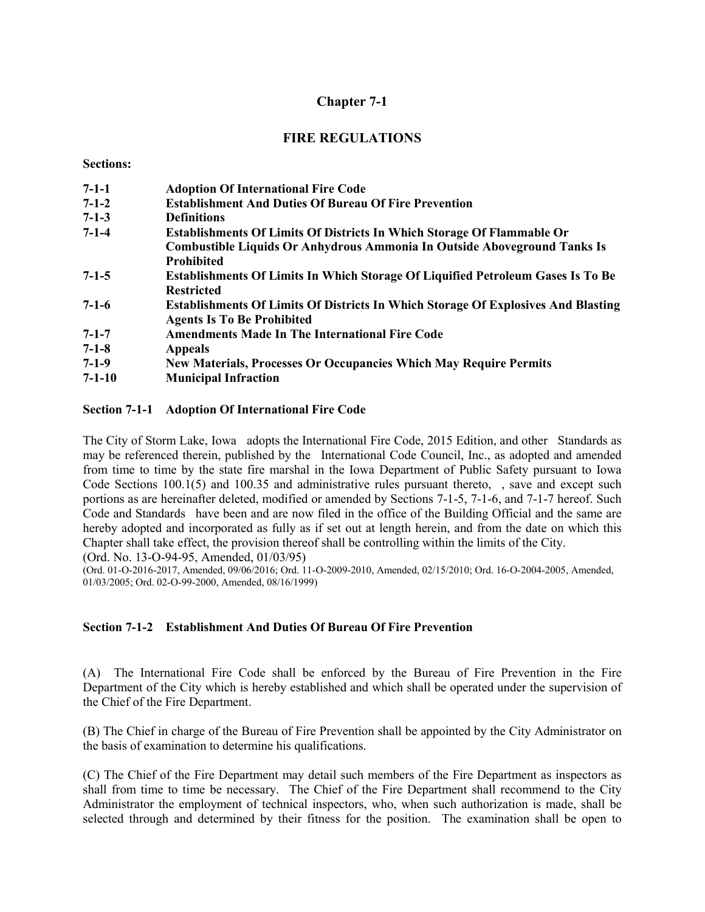# **Chapter 7-1**

# **FIRE REGULATIONS**

#### **Sections:**

| $7-1-1$      | <b>Adoption Of International Fire Code</b>                                               |
|--------------|------------------------------------------------------------------------------------------|
| $7-1-2$      | <b>Establishment And Duties Of Bureau Of Fire Prevention</b>                             |
| $7-1-3$      | <b>Definitions</b>                                                                       |
| $7 - 1 - 4$  | <b>Establishments Of Limits Of Districts In Which Storage Of Flammable Or</b>            |
|              | Combustible Liquids Or Anhydrous Ammonia In Outside Aboveground Tanks Is                 |
|              | <b>Prohibited</b>                                                                        |
| $7 - 1 - 5$  | <b>Establishments Of Limits In Which Storage Of Liquified Petroleum Gases Is To Be</b>   |
|              | <b>Restricted</b>                                                                        |
| $7-1-6$      | <b>Establishments Of Limits Of Districts In Which Storage Of Explosives And Blasting</b> |
|              | <b>Agents Is To Be Prohibited</b>                                                        |
| $7 - 1 - 7$  | <b>Amendments Made In The International Fire Code</b>                                    |
| $7-1-8$      | <b>Appeals</b>                                                                           |
| $7-1-9$      | <b>New Materials, Processes Or Occupancies Which May Require Permits</b>                 |
| $7 - 1 - 10$ | <b>Municipal Infraction</b>                                                              |

### **Section 7-1-1 Adoption Of International Fire Code**

The City of Storm Lake, Iowa adopts the International Fire Code, 2015 Edition, and other Standards as may be referenced therein, published by the International Code Council, Inc., as adopted and amended from time to time by the state fire marshal in the Iowa Department of Public Safety pursuant to Iowa Code Sections 100.1(5) and 100.35 and administrative rules pursuant thereto, , save and except such portions as are hereinafter deleted, modified or amended by Sections 7-1-5, 7-1-6, and 7-1-7 hereof. Such Code and Standards have been and are now filed in the office of the Building Official and the same are hereby adopted and incorporated as fully as if set out at length herein, and from the date on which this Chapter shall take effect, the provision thereof shall be controlling within the limits of the City.

(Ord. No. 13-O-94-95, Amended, 01/03/95)

(Ord. 01-O-2016-2017, Amended, 09/06/2016; Ord. 11-O-2009-2010, Amended, 02/15/2010; Ord. 16-O-2004-2005, Amended, 01/03/2005; Ord. 02-O-99-2000, Amended, 08/16/1999)

# **Section 7-1-2 Establishment And Duties Of Bureau Of Fire Prevention**

(A) The International Fire Code shall be enforced by the Bureau of Fire Prevention in the Fire Department of the City which is hereby established and which shall be operated under the supervision of the Chief of the Fire Department.

(B) The Chief in charge of the Bureau of Fire Prevention shall be appointed by the City Administrator on the basis of examination to determine his qualifications.

(C) The Chief of the Fire Department may detail such members of the Fire Department as inspectors as shall from time to time be necessary. The Chief of the Fire Department shall recommend to the City Administrator the employment of technical inspectors, who, when such authorization is made, shall be selected through and determined by their fitness for the position. The examination shall be open to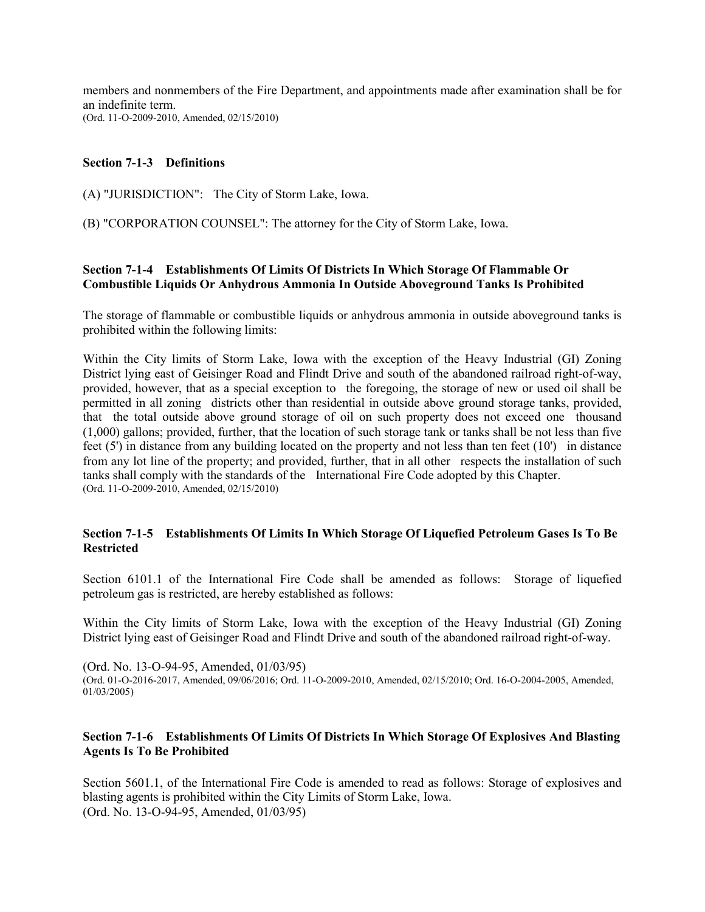members and nonmembers of the Fire Department, and appointments made after examination shall be for an indefinite term. (Ord. 11-O-2009-2010, Amended, 02/15/2010)

## **Section 7-1-3 Definitions**

(A) "JURISDICTION": The City of Storm Lake, Iowa.

(B) "CORPORATION COUNSEL": The attorney for the City of Storm Lake, Iowa.

## **Section 7-1-4 Establishments Of Limits Of Districts In Which Storage Of Flammable Or Combustible Liquids Or Anhydrous Ammonia In Outside Aboveground Tanks Is Prohibited**

The storage of flammable or combustible liquids or anhydrous ammonia in outside aboveground tanks is prohibited within the following limits:

Within the City limits of Storm Lake, Iowa with the exception of the Heavy Industrial (GI) Zoning District lying east of Geisinger Road and Flindt Drive and south of the abandoned railroad right-of-way, provided, however, that as a special exception to the foregoing, the storage of new or used oil shall be permitted in all zoning districts other than residential in outside above ground storage tanks, provided, that the total outside above ground storage of oil on such property does not exceed one thousand (1,000) gallons; provided, further, that the location of such storage tank or tanks shall be not less than five feet (5') in distance from any building located on the property and not less than ten feet (10') in distance from any lot line of the property; and provided, further, that in all other respects the installation of such tanks shall comply with the standards of the International Fire Code adopted by this Chapter. (Ord. 11-O-2009-2010, Amended, 02/15/2010)

## **Section 7-1-5 Establishments Of Limits In Which Storage Of Liquefied Petroleum Gases Is To Be Restricted**

Section 6101.1 of the International Fire Code shall be amended as follows: Storage of liquefied petroleum gas is restricted, are hereby established as follows:

Within the City limits of Storm Lake, Iowa with the exception of the Heavy Industrial (GI) Zoning District lying east of Geisinger Road and Flindt Drive and south of the abandoned railroad right-of-way.

(Ord. No. 13-O-94-95, Amended, 01/03/95) (Ord. 01-O-2016-2017, Amended, 09/06/2016; Ord. 11-O-2009-2010, Amended, 02/15/2010; Ord. 16-O-2004-2005, Amended, 01/03/2005)

## **Section 7-1-6 Establishments Of Limits Of Districts In Which Storage Of Explosives And Blasting Agents Is To Be Prohibited**

Section 5601.1, of the International Fire Code is amended to read as follows: Storage of explosives and blasting agents is prohibited within the City Limits of Storm Lake, Iowa. (Ord. No. 13-O-94-95, Amended, 01/03/95)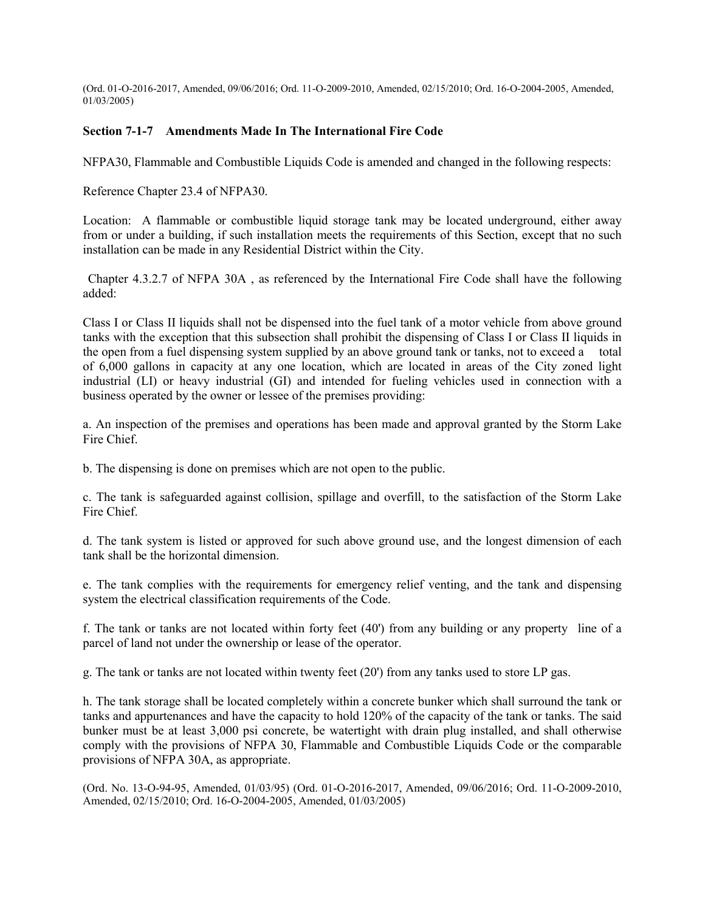(Ord. 01-O-2016-2017, Amended, 09/06/2016; Ord. 11-O-2009-2010, Amended, 02/15/2010; Ord. 16-O-2004-2005, Amended, 01/03/2005)

### **Section 7-1-7 Amendments Made In The International Fire Code**

NFPA30, Flammable and Combustible Liquids Code is amended and changed in the following respects:

Reference Chapter 23.4 of NFPA30.

Location: A flammable or combustible liquid storage tank may be located underground, either away from or under a building, if such installation meets the requirements of this Section, except that no such installation can be made in any Residential District within the City.

Chapter 4.3.2.7 of NFPA 30A , as referenced by the International Fire Code shall have the following added:

Class I or Class II liquids shall not be dispensed into the fuel tank of a motor vehicle from above ground tanks with the exception that this subsection shall prohibit the dispensing of Class I or Class II liquids in the open from a fuel dispensing system supplied by an above ground tank or tanks, not to exceed a total of 6,000 gallons in capacity at any one location, which are located in areas of the City zoned light industrial (LI) or heavy industrial (GI) and intended for fueling vehicles used in connection with a business operated by the owner or lessee of the premises providing:

a. An inspection of the premises and operations has been made and approval granted by the Storm Lake Fire Chief.

b. The dispensing is done on premises which are not open to the public.

c. The tank is safeguarded against collision, spillage and overfill, to the satisfaction of the Storm Lake Fire Chief.

d. The tank system is listed or approved for such above ground use, and the longest dimension of each tank shall be the horizontal dimension.

e. The tank complies with the requirements for emergency relief venting, and the tank and dispensing system the electrical classification requirements of the Code.

f. The tank or tanks are not located within forty feet (40') from any building or any property line of a parcel of land not under the ownership or lease of the operator.

g. The tank or tanks are not located within twenty feet (20') from any tanks used to store LP gas.

h. The tank storage shall be located completely within a concrete bunker which shall surround the tank or tanks and appurtenances and have the capacity to hold 120% of the capacity of the tank or tanks. The said bunker must be at least 3,000 psi concrete, be watertight with drain plug installed, and shall otherwise comply with the provisions of NFPA 30, Flammable and Combustible Liquids Code or the comparable provisions of NFPA 30A, as appropriate.

(Ord. No. 13-O-94-95, Amended, 01/03/95) (Ord. 01-O-2016-2017, Amended, 09/06/2016; Ord. 11-O-2009-2010, Amended, 02/15/2010; Ord. 16-O-2004-2005, Amended, 01/03/2005)